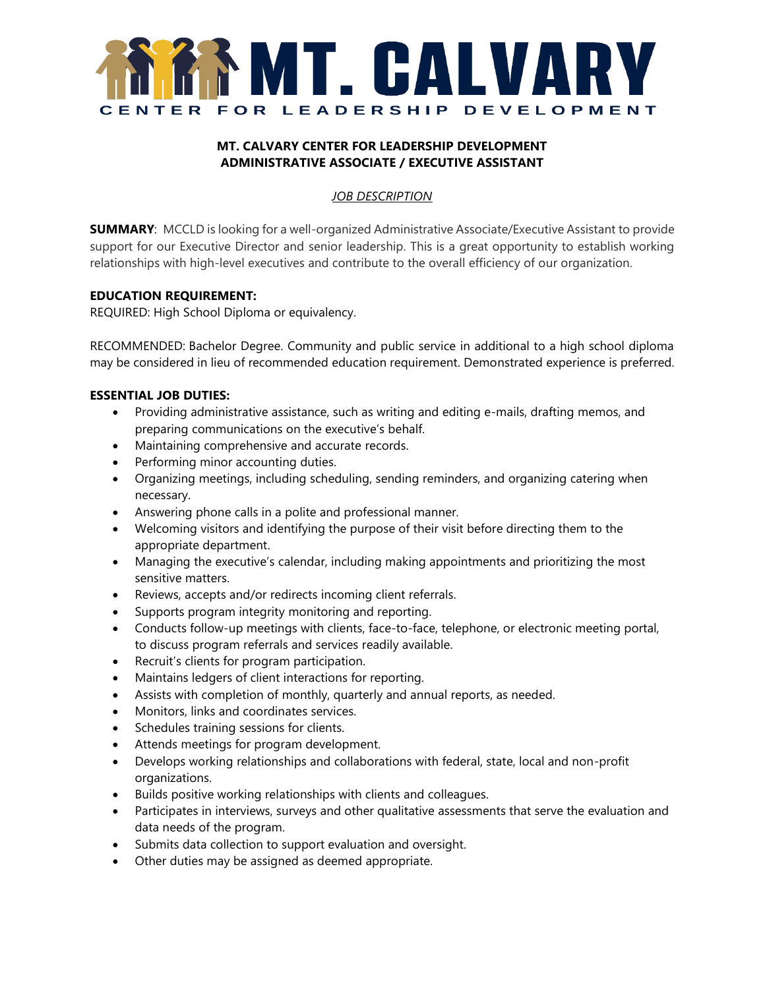

# **MT. CALVARY CENTER FOR LEADERSHIP DEVELOPMENT ADMINISTRATIVE ASSOCIATE / EXECUTIVE ASSISTANT**

# *JOB DESCRIPTION*

**SUMMARY**: MCCLD is looking for a well-organized Administrative Associate/Executive Assistant to provide support for our Executive Director and senior leadership. This is a great opportunity to establish working relationships with high-level executives and contribute to the overall efficiency of our organization.

### **EDUCATION REQUIREMENT:**

REQUIRED: High School Diploma or equivalency.

RECOMMENDED: Bachelor Degree. Community and public service in additional to a high school diploma may be considered in lieu of recommended education requirement. Demonstrated experience is preferred.

### **ESSENTIAL JOB DUTIES:**

- Providing administrative assistance, such as writing and editing e-mails, drafting memos, and preparing communications on the executive's behalf.
- Maintaining comprehensive and accurate records.
- Performing minor accounting duties.
- Organizing meetings, including scheduling, sending reminders, and organizing catering when necessary.
- Answering phone calls in a polite and professional manner.
- Welcoming visitors and identifying the purpose of their visit before directing them to the appropriate department.
- Managing the executive's calendar, including making appointments and prioritizing the most sensitive matters.
- Reviews, accepts and/or redirects incoming client referrals.
- Supports program integrity monitoring and reporting.
- Conducts follow-up meetings with clients, face-to-face, telephone, or electronic meeting portal, to discuss program referrals and services readily available.
- Recruit's clients for program participation.
- Maintains ledgers of client interactions for reporting.
- Assists with completion of monthly, quarterly and annual reports, as needed.
- Monitors, links and coordinates services.
- Schedules training sessions for clients.
- Attends meetings for program development.
- Develops working relationships and collaborations with federal, state, local and non-profit organizations.
- Builds positive working relationships with clients and colleagues.
- Participates in interviews, surveys and other qualitative assessments that serve the evaluation and data needs of the program.
- Submits data collection to support evaluation and oversight.
- Other duties may be assigned as deemed appropriate.